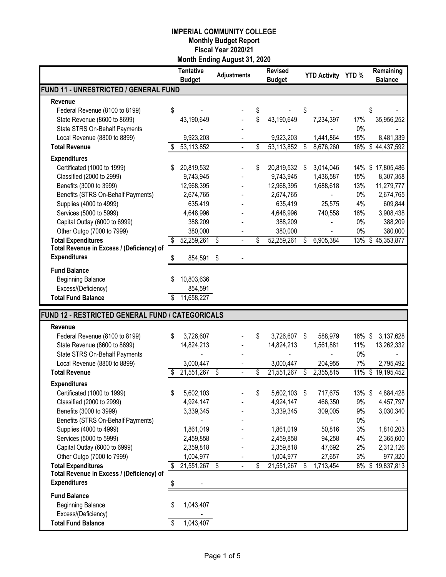|                                                  |    | <b>Tentative</b><br><b>Budget</b> | <b>Adjustments</b> | <b>Revised</b><br><b>Budget</b> |      | <b>YTD Activity YTD %</b> |        | Remaining<br><b>Balance</b> |
|--------------------------------------------------|----|-----------------------------------|--------------------|---------------------------------|------|---------------------------|--------|-----------------------------|
| FUND 11 - UNRESTRICTED / GENERAL FUND            |    |                                   |                    |                                 |      |                           |        |                             |
| Revenue                                          |    |                                   |                    |                                 |      |                           |        |                             |
| Federal Revenue (8100 to 8199)                   | \$ |                                   |                    | \$                              | \$   |                           |        | \$                          |
| State Revenue (8600 to 8699)                     |    | 43,190,649                        |                    | \$<br>43,190,649                |      | 7,234,397                 | 17%    | 35,956,252                  |
| State STRS On-Behalf Payments                    |    |                                   |                    |                                 |      |                           | $0\%$  |                             |
| Local Revenue (8800 to 8899)                     |    | 9,923,203                         |                    | 9,923,203                       |      | 1,441,864                 | 15%    | 8,481,339                   |
| <b>Total Revenue</b>                             | S  | 53,113,852                        |                    | \$<br>53,113,852                | \$   | 8,676,260                 | 16%    | \$44,437,592                |
| <b>Expenditures</b>                              |    |                                   |                    |                                 |      |                           |        |                             |
| Certificated (1000 to 1999)                      | S  | 20,819,532                        |                    | \$<br>20,819,532 \$             |      | 3,014,046                 | 14%    | \$17,805,486                |
| Classified (2000 to 2999)                        |    | 9,743,945                         |                    | 9,743,945                       |      | 1,436,587                 | 15%    | 8,307,358                   |
| Benefits (3000 to 3999)                          |    | 12,968,395                        |                    | 12,968,395                      |      | 1,688,618                 | 13%    | 11,279,777                  |
| Benefits (STRS On-Behalf Payments)               |    | 2,674,765                         |                    | 2,674,765                       |      |                           | $0\%$  | 2,674,765                   |
| Supplies (4000 to 4999)                          |    | 635,419                           |                    | 635,419                         |      | 25,575                    | 4%     | 609,844                     |
| Services (5000 to 5999)                          |    | 4,648,996                         |                    | 4,648,996                       |      | 740,558                   | 16%    | 3,908,438                   |
| Capital Outlay (6000 to 6999)                    |    | 388,209                           |                    | 388,209                         |      |                           | $0\%$  | 388,209                     |
| Other Outgo (7000 to 7999)                       |    | 380,000                           |                    | 380,000                         |      |                           | $0\%$  | 380,000                     |
| <b>Total Expenditures</b>                        | \$ | 52,259,261                        | \$                 | \$<br>52,259,261                | S    | 6,905,384                 | 13%    | \$45,353,877                |
| Total Revenue in Excess / (Deficiency) of        |    |                                   |                    |                                 |      |                           |        |                             |
| <b>Expenditures</b>                              | S  | 854,591                           | \$                 |                                 |      |                           |        |                             |
| <b>Fund Balance</b>                              |    |                                   |                    |                                 |      |                           |        |                             |
| <b>Beginning Balance</b>                         | S  | 10,803,636                        |                    |                                 |      |                           |        |                             |
| Excess/(Deficiency)                              |    | 854,591                           |                    |                                 |      |                           |        |                             |
| <b>Total Fund Balance</b>                        |    | 11,658,227                        |                    |                                 |      |                           |        |                             |
|                                                  |    |                                   |                    |                                 |      |                           |        |                             |
| FUND 12 - RESTRICTED GENERAL FUND / CATEGORICALS |    |                                   |                    |                                 |      |                           |        |                             |
| Revenue                                          |    |                                   |                    |                                 |      |                           |        |                             |
| Federal Revenue (8100 to 8199)                   | \$ | 3,726,607                         |                    | \$<br>3,726,607 \$              |      | 588,979                   | 16%    | 3,137,628<br>\$             |
| State Revenue (8600 to 8699)                     |    | 14,824,213                        |                    | 14,824,213                      |      | 1,561,881                 | 11%    | 13,262,332                  |
| State STRS On-Behalf Payments                    |    |                                   |                    |                                 |      |                           | $0\%$  |                             |
| Local Revenue (8800 to 8899)                     |    | 3,000,447                         |                    | 3,000,447                       |      | 204,955                   | 7%     | 2,795,492                   |
| <b>Total Revenue</b>                             |    | 21,551,267                        | \$                 | \$<br>21,551,267                | \$   | 2,355,815                 | 11%    | \$19,195,452                |
| <b>Expenditures</b>                              |    |                                   |                    |                                 |      |                           |        |                             |
| Certificated (1000 to 1999)                      | \$ | 5,602,103                         |                    | 5,602,103 \$                    |      | 717,675                   | 13% \$ | 4,884,428                   |
| Classified (2000 to 2999)                        |    | 4,924,147                         |                    | 4,924,147                       |      | 466,350                   | 9%     | 4,457,797                   |
| Benefits (3000 to 3999)                          |    | 3,339,345                         |                    | 3,339,345                       |      | 309,005                   | 9%     | 3,030,340                   |
| Benefits (STRS On-Behalf Payments)               |    |                                   |                    |                                 |      |                           | $0\%$  |                             |
| Supplies (4000 to 4999)                          |    | 1,861,019                         |                    | 1,861,019                       |      | 50,816                    | 3%     | 1,810,203                   |
| Services (5000 to 5999)                          |    | 2,459,858                         |                    | 2,459,858                       |      | 94,258                    | 4%     | 2,365,600                   |
| Capital Outlay (6000 to 6999)                    |    | 2,359,818                         |                    | 2,359,818                       |      | 47,692                    | 2%     | 2,312,126                   |
| Other Outgo (7000 to 7999)                       |    | 1,004,977                         |                    | 1,004,977                       |      | 27,657                    | 3%     | 977,320                     |
| <b>Total Expenditures</b>                        |    | \$21,551,267                      |                    | \$<br>21,551,267                | - \$ | 1,713,454                 |        | 8% \$19,837,813             |
| Total Revenue in Excess / (Deficiency) of        |    |                                   |                    |                                 |      |                           |        |                             |
| <b>Expenditures</b>                              | \$ |                                   |                    |                                 |      |                           |        |                             |
| <b>Fund Balance</b>                              |    |                                   |                    |                                 |      |                           |        |                             |
| <b>Beginning Balance</b>                         | \$ | 1,043,407                         |                    |                                 |      |                           |        |                             |
| Excess/(Deficiency)                              |    |                                   |                    |                                 |      |                           |        |                             |
| <b>Total Fund Balance</b>                        | \$ | 1,043,407                         |                    |                                 |      |                           |        |                             |
|                                                  |    |                                   |                    |                                 |      |                           |        |                             |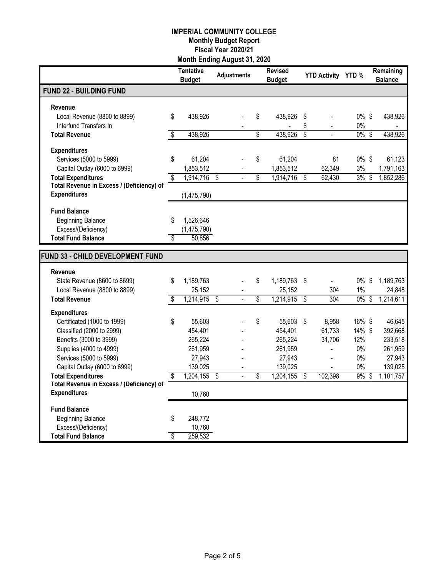|                                                                  | Tentative<br><b>Budget</b> |                          | <b>Adjustments</b> | <b>Revised</b><br><b>Budget</b> |                         | <b>YTD Activity YTD %</b> |               |                         | Remaining<br><b>Balance</b> |
|------------------------------------------------------------------|----------------------------|--------------------------|--------------------|---------------------------------|-------------------------|---------------------------|---------------|-------------------------|-----------------------------|
| <b>FUND 22 - BUILDING FUND</b>                                   |                            |                          |                    |                                 |                         |                           |               |                         |                             |
| <b>Revenue</b>                                                   |                            |                          |                    |                                 |                         |                           |               |                         |                             |
| Local Revenue (8800 to 8899)                                     | \$<br>438,926              |                          |                    | \$<br>438,926                   | \$                      |                           | $0\%$ \$      |                         | 438,926                     |
| Interfund Transfers In                                           |                            |                          |                    |                                 | \$                      |                           | $0\%$         |                         |                             |
| <b>Total Revenue</b>                                             | \$<br>438,926              |                          |                    | \$<br>438,926                   | \$                      |                           | $0\%$ \$      |                         | 438,926                     |
| <b>Expenditures</b>                                              |                            |                          |                    |                                 |                         |                           |               |                         |                             |
| Services (5000 to 5999)                                          | \$<br>61,204               |                          |                    | \$<br>61,204                    |                         | 81                        | $0\%$ \$      |                         | 61,123                      |
| Capital Outlay (6000 to 6999)                                    | 1,853,512                  |                          |                    | 1,853,512                       |                         | 62,349                    | 3%            |                         | 1,791,163                   |
| <b>Total Expenditures</b>                                        | \$<br>1,914,716            | \$                       |                    | \$<br>1,914,716                 | \$                      | 62,430                    | 3%            | S                       | 1,852,286                   |
| Total Revenue in Excess / (Deficiency) of<br><b>Expenditures</b> |                            |                          |                    |                                 |                         |                           |               |                         |                             |
|                                                                  | (1,475,790)                |                          |                    |                                 |                         |                           |               |                         |                             |
| <b>Fund Balance</b>                                              |                            |                          |                    |                                 |                         |                           |               |                         |                             |
| <b>Beginning Balance</b>                                         | \$<br>1,526,646            |                          |                    |                                 |                         |                           |               |                         |                             |
| Excess/(Deficiency)                                              | (1,475,790)                |                          |                    |                                 |                         |                           |               |                         |                             |
| <b>Total Fund Balance</b>                                        | \$<br>50,856               |                          |                    |                                 |                         |                           |               |                         |                             |
| FUND 33 - CHILD DEVELOPMENT FUND                                 |                            |                          |                    |                                 |                         |                           |               |                         |                             |
|                                                                  |                            |                          |                    |                                 |                         |                           |               |                         |                             |
| Revenue                                                          |                            |                          |                    |                                 |                         |                           |               |                         |                             |
| State Revenue (8600 to 8699)                                     | \$<br>1,189,763            |                          |                    | \$<br>1,189,763                 | $\sqrt[6]{\frac{1}{2}}$ | $\overline{a}$            | $0\%$         | \$                      | 1,189,763                   |
| Local Revenue (8800 to 8899)<br><b>Total Revenue</b>             | \$<br>25,152<br>1,214,915  | $\overline{\mathbf{s}}$  | $\blacksquare$     | \$<br>25,152<br>1,214,915       | \$                      | 304<br>304                | 1%<br>$0\%$   | $\overline{\mathbf{S}}$ | 24,848<br>1,214,611         |
|                                                                  |                            |                          |                    |                                 |                         |                           |               |                         |                             |
| <b>Expenditures</b>                                              |                            |                          |                    |                                 |                         |                           |               |                         |                             |
| Certificated (1000 to 1999)                                      | \$<br>55,603               |                          |                    | \$<br>55,603                    | $\sqrt[6]{\frac{1}{2}}$ | 8,958                     | 16% \$        |                         | 46,645                      |
| Classified (2000 to 2999)<br>Benefits (3000 to 3999)             | 454,401<br>265,224         |                          |                    | 454,401<br>265,224              |                         | 61,733<br>31,706          | 14% \$<br>12% |                         | 392,668<br>233,518          |
| Supplies (4000 to 4999)                                          | 261,959                    |                          |                    | 261,959                         |                         |                           | $0\%$         |                         | 261,959                     |
| Services (5000 to 5999)                                          | 27,943                     |                          |                    | 27,943                          |                         |                           | $0\%$         |                         | 27,943                      |
| Capital Outlay (6000 to 6999)                                    | 139,025                    |                          |                    | 139,025                         |                         |                           | 0%            |                         | 139,025                     |
| <b>Total Expenditures</b>                                        | \$<br>1,204,155            | $\overline{\mathcal{S}}$ | $\overline{a}$     | \$<br>1,204,155                 | $\overline{\mathbf{s}}$ | 102,398                   | 9%            | $\overline{\mathbf{s}}$ | 1,101,757                   |
| Total Revenue in Excess / (Deficiency) of                        |                            |                          |                    |                                 |                         |                           |               |                         |                             |
| <b>Expenditures</b>                                              | 10,760                     |                          |                    |                                 |                         |                           |               |                         |                             |
| <b>Fund Balance</b>                                              |                            |                          |                    |                                 |                         |                           |               |                         |                             |
| <b>Beginning Balance</b>                                         | \$<br>248,772              |                          |                    |                                 |                         |                           |               |                         |                             |
| Excess/(Deficiency)                                              | 10.760                     |                          |                    |                                 |                         |                           |               |                         |                             |
| <b>Total Fund Balance</b>                                        | \$<br>259,532              |                          |                    |                                 |                         |                           |               |                         |                             |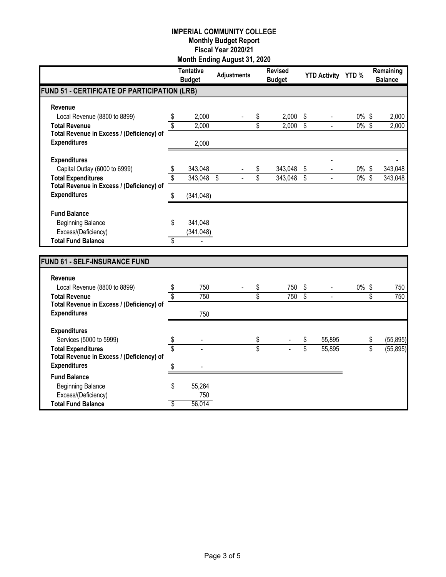|                                                 |    | <b>Tentative</b><br><b>Budget</b> | <b>Adjustments</b> |    | <b>Revised</b><br><b>Budget</b> |                          | YTD Activity YTD %       |          |                 | Remaining<br><b>Balance</b> |
|-------------------------------------------------|----|-----------------------------------|--------------------|----|---------------------------------|--------------------------|--------------------------|----------|-----------------|-----------------------------|
| FUND 51 - CERTIFICATE OF PARTICIPATION (LRB)    |    |                                   |                    |    |                                 |                          |                          |          |                 |                             |
| Revenue                                         |    |                                   |                    |    |                                 |                          |                          |          |                 |                             |
| Local Revenue (8800 to 8899)                    | \$ | 2,000                             |                    | \$ | 2,000                           | \$                       | $\overline{\phantom{0}}$ | $0\%$    | \$              | 2,000                       |
| <b>Total Revenue</b>                            | \$ | 2,000                             |                    | \$ | 2,000                           | $\overline{\mathcal{S}}$ | $\frac{1}{2}$            | $0\%$ \$ |                 | 2,000                       |
| Total Revenue in Excess / (Deficiency) of       |    |                                   |                    |    |                                 |                          |                          |          |                 |                             |
| <b>Expenditures</b>                             |    | 2,000                             |                    |    |                                 |                          |                          |          |                 |                             |
| <b>Expenditures</b>                             |    |                                   |                    |    |                                 |                          |                          |          |                 |                             |
| Capital Outlay (6000 to 6999)                   | \$ | 343,048                           |                    | \$ | 343,048                         | \$                       |                          | $0\%$ \$ |                 | 343,048                     |
| <b>Total Expenditures</b>                       | \$ | 343,048                           | \$                 | \$ | 343,048                         | \$                       | $\overline{a}$           | $0\%$    | \$              | 343,048                     |
| Total Revenue in Excess / (Deficiency) of       |    |                                   |                    |    |                                 |                          |                          |          |                 |                             |
| <b>Expenditures</b>                             | \$ | (341, 048)                        |                    |    |                                 |                          |                          |          |                 |                             |
| <b>Fund Balance</b>                             |    |                                   |                    |    |                                 |                          |                          |          |                 |                             |
| <b>Beginning Balance</b>                        | \$ | 341,048                           |                    |    |                                 |                          |                          |          |                 |                             |
| Excess/(Deficiency)                             |    | (341, 048)                        |                    |    |                                 |                          |                          |          |                 |                             |
| <b>Total Fund Balance</b>                       | \$ |                                   |                    |    |                                 |                          |                          |          |                 |                             |
|                                                 |    |                                   |                    |    |                                 |                          |                          |          |                 |                             |
| <b>FUND 61 - SELF-INSURANCE FUND</b>            |    |                                   |                    |    |                                 |                          |                          |          |                 |                             |
| Revenue                                         |    |                                   |                    |    |                                 |                          |                          |          |                 |                             |
| Local Revenue (8800 to 8899)                    | \$ | 750                               |                    | \$ | 750                             | \$                       |                          | $0\%$    | \$              | 750                         |
| <b>Total Revenue</b>                            | \$ | 750                               |                    | \$ | 750                             | $\overline{\$}$          |                          |          | $\overline{\$}$ | 750                         |
| Total Revenue in Excess / (Deficiency) of       |    |                                   |                    |    |                                 |                          |                          |          |                 |                             |
| <b>Expenditures</b>                             |    | 750                               |                    |    |                                 |                          |                          |          |                 |                             |
| <b>Expenditures</b>                             |    |                                   |                    |    |                                 |                          |                          |          |                 |                             |
| Services (5000 to 5999)                         | \$ |                                   |                    | \$ |                                 | \$                       | 55,895                   |          | \$              | (55, 895)                   |
| <b>Total Expenditures</b>                       | Ś  |                                   |                    | Ŝ  |                                 | \$                       | 55,895                   |          | $\overline{\$}$ | (55, 895)                   |
| Total Revenue in Excess / (Deficiency) of       |    |                                   |                    |    |                                 |                          |                          |          |                 |                             |
| <b>Expenditures</b>                             | \$ |                                   |                    |    |                                 |                          |                          |          |                 |                             |
| <b>Fund Balance</b>                             |    |                                   |                    |    |                                 |                          |                          |          |                 |                             |
| <b>Beginning Balance</b><br>Excess/(Deficiency) | \$ | 55,264<br>750                     |                    |    |                                 |                          |                          |          |                 |                             |
| <b>Total Fund Balance</b>                       | \$ | 56,014                            |                    |    |                                 |                          |                          |          |                 |                             |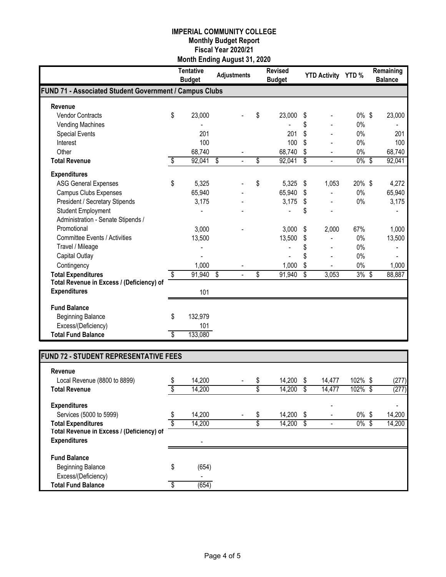|                                                        | <b>Tentative</b><br><b>Budget</b> | <b>Adjustments</b> | <b>Revised</b><br><b>Budget</b> | <b>YTD Activity YTD %</b> |          | Remaining<br><b>Balance</b> |
|--------------------------------------------------------|-----------------------------------|--------------------|---------------------------------|---------------------------|----------|-----------------------------|
| FUND 71 - Associated Student Government / Campus Clubs |                                   |                    |                                 |                           |          |                             |
| Revenue                                                |                                   |                    |                                 |                           |          |                             |
| <b>Vendor Contracts</b>                                | \$<br>23,000                      |                    | \$<br>23,000                    | \$                        | $0\%$ \$ | 23,000                      |
| Vending Machines                                       |                                   |                    |                                 | \$                        | 0%       |                             |
| <b>Special Events</b>                                  | 201                               |                    | 201                             | \$                        | 0%       | 201                         |
| Interest                                               | 100                               |                    | 100                             | \$                        | 0%       | 100                         |
| Other                                                  | 68,740                            |                    | 68,740                          | \$                        | 0%       | 68,740                      |
| <b>Total Revenue</b>                                   | \$<br>92,041                      | \$                 | \$<br>92,041                    | \$                        | $0\%$    | \$<br>92,041                |
| <b>Expenditures</b>                                    |                                   |                    |                                 |                           |          |                             |
| <b>ASG General Expenses</b>                            | \$<br>5,325                       |                    | \$<br>5,325                     | \$<br>1,053               | 20%\$    | 4,272                       |
| <b>Campus Clubs Expenses</b>                           | 65,940                            |                    | 65,940                          | \$                        | 0%       | 65,940                      |
| President / Secretary Stipends                         | 3,175                             |                    | 3,175                           | \$                        | 0%       | 3,175                       |
| <b>Student Employment</b>                              |                                   |                    |                                 | \$                        |          |                             |
| Administration - Senate Stipends /                     |                                   |                    |                                 |                           |          |                             |
| Promotional                                            | 3,000                             |                    | 3,000                           | \$<br>2,000               | 67%      | 1,000                       |
| <b>Committee Events / Activities</b>                   | 13,500                            |                    | 13,500                          | \$                        | 0%       | 13,500                      |
| Travel / Mileage                                       |                                   |                    |                                 |                           | 0%       |                             |
| Capital Outlay                                         |                                   |                    |                                 | \$                        | 0%       |                             |
| Contingency                                            | 1,000                             |                    | 1,000                           | \$                        | 0%       | 1,000                       |
| <b>Total Expenditures</b>                              | \$<br>91,940                      | \$                 | \$<br>91,940                    | \$<br>3,053               | 3%       | \$<br>88,887                |
| Total Revenue in Excess / (Deficiency) of              |                                   |                    |                                 |                           |          |                             |
| <b>Expenditures</b>                                    | 101                               |                    |                                 |                           |          |                             |
| <b>Fund Balance</b>                                    |                                   |                    |                                 |                           |          |                             |
| <b>Beginning Balance</b>                               | \$<br>132,979                     |                    |                                 |                           |          |                             |
| Excess/(Deficiency)                                    | 101                               |                    |                                 |                           |          |                             |
| <b>Total Fund Balance</b>                              | \$<br>133,080                     |                    |                                 |                           |          |                             |

# **FUND 72 - STUDENT REPRESENTATIVE FEES**

| Revenue                                   |              |  |        |      |        |          |        |
|-------------------------------------------|--------------|--|--------|------|--------|----------|--------|
| Local Revenue (8800 to 8899)              | \$<br>14,200 |  | 14.200 | - \$ | 14,477 | 102% \$  | (277)  |
| <b>Total Revenue</b>                      | 14,200       |  | 14,200 |      | 14,477 | 102%     | (277)  |
| <b>Expenditures</b>                       |              |  |        |      |        |          |        |
| Services (5000 to 5999)                   | 14,200       |  | 14.200 | - \$ |        | $0\%$ \$ | 14,200 |
| <b>Total Expenditures</b>                 | 14,200       |  | 14,200 | \$   |        | 0%       | 14,200 |
| Total Revenue in Excess / (Deficiency) of |              |  |        |      |        |          |        |
| <b>Expenditures</b>                       |              |  |        |      |        |          |        |
| <b>Fund Balance</b>                       |              |  |        |      |        |          |        |
| <b>Beginning Balance</b>                  | \$<br>(654)  |  |        |      |        |          |        |
| Excess/(Deficiency)                       |              |  |        |      |        |          |        |
| <b>Total Fund Balance</b>                 | (654)        |  |        |      |        |          |        |